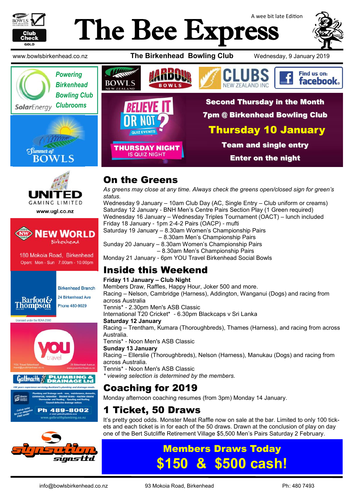

# A wee bit late Edition The Bee Express







www.ugl.co.nz



180 Mokoia Road, Birkenhead Open: Mon - Sun 7.00am - 10.00pm



**Birkenhead Branch** 



Licensed under the REAA 2008









## On the Greens

*As greens may close at any time. Always check the greens open/closed sign for green's status.*

Wednesday 9 January – 10am Club Day (AC, Single Entry – Club uniform or creams) Saturday 12 January - BNH Men's Centre Pairs Section Play (1 Green required) Wednesday 16 January – Wednesday Triples Tournament (OACT) – lunch included Friday 18 January - 1pm 2-4-2 Pairs (OACP) - mufti Saturday 19 January – 8.30am Women's Championship Pairs – 8.30am Men's Championship Pairs Sunday 20 January – 8.30am Women's Championship Pairs

– 8.30am Men's Championship Pairs

Monday 21 January - 6pm YOU Travel Birkenhead Social Bowls

#### Inside this Weekend

#### **Friday 11 January – Club Night**

Members Draw, Raffles, Happy Hour, Joker 500 and more. Racing – Nelson, Cambridge (Harness), Addington, Wanganui (Dogs) and racing from across Australia

Tennis\* - 2.30pm Men's ASB Classic

International T20 Cricket\* - 6.30pm Blackcaps v Sri Lanka

#### **Saturday 12 January**

Racing – Trentham, Kumara (Thoroughbreds), Thames (Harness), and racing from across Australia.

Tennis\* - Noon Men's ASB Classic

#### **Sunday 13 January**

Racing – Ellerslie (Thoroughbreds), Nelson (Harness), Manukau (Dogs) and racing from across Australia.

Tennis\* - Noon Men's ASB Classic

*\* viewing selection is determined by the members.*

## Coaching for 2019

Monday afternoon coaching resumes (from 3pm) Monday 14 January.

#### 1 Ticket, 50 Draws

It's pretty good odds. Monster Meat Raffle now on sale at the bar. Limited to only 100 tickets and each ticket is in for each of the 50 draws. Drawn at the conclusion of play on day one of the Bert Sutcliffe Retirement Village \$5,500 Men's Pairs Saturday 2 February.

## Members Draws Today **\$500 cash!**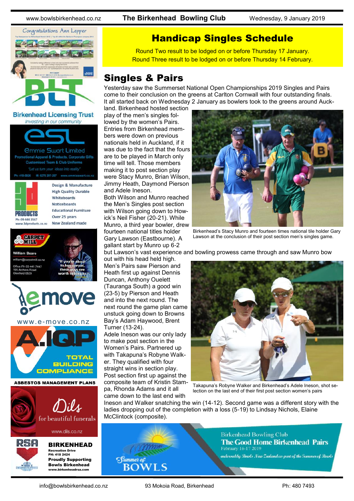www.bowlsbirkenhead.co.nz **The Birkenhead Bowling Club** Wednesday, 9 January 2019



**Birkenhead Licensing Trust** Investing in our community





**High Quality Durable** Whiteboards **Noticeboards Educational Furniture** Over 25 years New Zealand made

**88 Hill Bar William Beare** 

> n@carnetmill.com e Ph 09 441 7447 field 0620



www.e-move.co.nz



**ASBESTOS MANAGEMENT PLANS** 



#### BIRKENHEAD

Recreation Drive PH: 418 2424 Proudly Supporting Bowls Birkenhead www.birkenheadrsa.com

#### Handicap Singles Schedule

Round Two result to be lodged on or before Thursday 17 January. Round Three result to be lodged on or before Thursday 14 February.

#### Singles & Pairs

Yesterday saw the Summerset National Open Championships 2019 Singles and Pairs come to their conclusion on the greens at Carlton Cornwall with four outstanding finals. It all started back on Wednesday 2 January as bowlers took to the greens around Auck-

land. Birkenhead hosted section play of the men's singles followed by the women's Pairs. Entries from Birkenhead members were down on previous nationals held in Auckland, if it was due to the fact that the fours are to be played in March only time will tell. Those members making it to post section play were Stacy Munro, Brian Wilson, Jimmy Heath, Daymond Pierson and Adele Ineson.

Both Wilson and Munro reached the Men's Singles post section with Wilson going down to Howick's Neil Fisher (20-21). While Munro, a third year bowler, drew fourteen national titles holder Gary Lawson (Eastbourne). A gallant start by Munro up 6-2

out with his head held high. Men's Pairs saw Pierson and Heath first up against Dennis Duncan, Anthony Ouelett (Tauranga South) a good win (23-5) by Pierson and Heath and into the next round. The next round the game plan came

unstuck going down to Browns Bay's Adam Haywood, Brent Turner (13-24).

Adele Ineson was our only lady to make post section in the Women's Pairs. Partnered up with Takapuna's Robyne Walker. They qualified with four straight wins in section play. Post section first up against the composite team of Kristin Stampa, Rhonda Adams and it all came down to the last end with



Birkenhead's Stacy Munro and fourteen times national tile holder Gary Lawson at the conclusion of their post section men's singles game.

but Lawson's vast experience and bowling prowess came through and saw Munro bow



Takapuna's Robyne Walker and Birkenhead's Adele Ineson, shot selection on the last end of their first post section women's pairs

Ineson and Walker snatching the win (14-12). Second game was a different story with the ladies dropping out of the completion with a loss (5-19) to Lindsay Nichols, Elaine McClintock (composite).



**Birkenhead Bowling Club The Good Home Birkenhead Pairs** February 16-17 2019

endorsed by Bouds New Zealand as part of the Summer of Bouds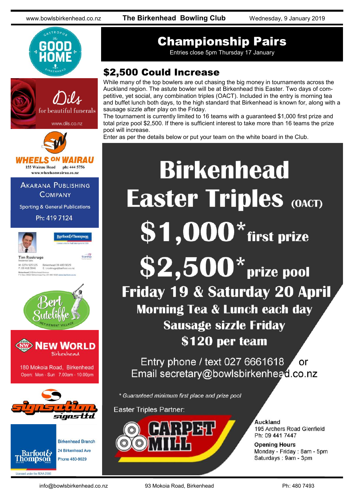www.bowlsbirkenhead.co.nz **The Birkenhead Bowling Club** Wednesday, 9 January 2019





# Championship Pairs

Entries close 5pm Thursday 17 January

## \$2,500 Could Increase

While many of the top bowlers are out chasing the big money in tournaments across the Auckland region. The astute bowler will be at Birkenhead this Easter. Two days of competitive, yet social, any combination triples (OACT). Included in the entry is morning tea and buffet lunch both days, to the high standard that Birkenhead is known for, along with a sausage sizzle after play on the Friday.

The tournament is currently limited to 16 teams with a guaranteed \$1,000 first prize and total prize pool \$2,500. If there is sufficient interest to take more than 16 teams the prize pool will increase.

Enter as per the details below or put your team on the white board in the Club.

# **Birkenhead Easter Triples (OACT)**  $$1,000*$  first prize  $$2,500*$  prize pool Friday 19 & Saturday 20 April **Morning Tea & Lunch each day Sausage sizzle Friday** \$120 per team

Entry phone / text 027 6661618 ้ or Email secretary@bowlsbirkenhead.co.nz

\* Guaranteed minimum first place and prize pool

**Easter Triples Partner:** 



Auckland 195 Archers Road Glenfield Ph: 09 441 7447

**Opening Hours** Monday - Friday: 8am - 5pm Saturdays: 9am - 3pm

Licensed under the REAA 2008